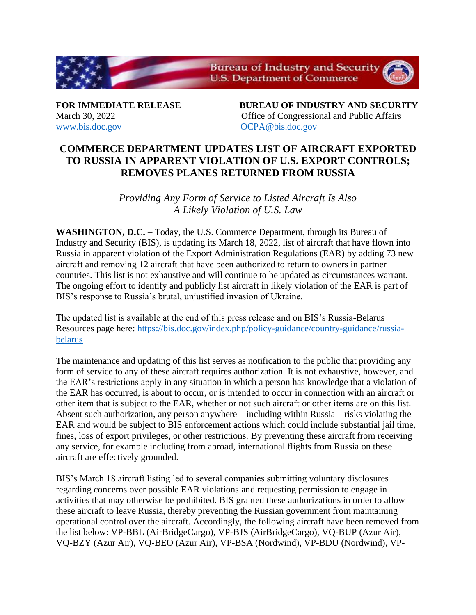

[www.bis.doc.gov](http://www.bis.doc.gov/) [OCPA@bis.doc.gov](mailto:OCPA@bis.doc.gov)

**FOR IMMEDIATE RELEASE BUREAU OF INDUSTRY AND SECURITY** March 30, 2022 **Office of Congressional and Public Affairs** 

## **COMMERCE DEPARTMENT UPDATES LIST OF AIRCRAFT EXPORTED TO RUSSIA IN APPARENT VIOLATION OF U.S. EXPORT CONTROLS; REMOVES PLANES RETURNED FROM RUSSIA**

*Providing Any Form of Service to Listed Aircraft Is Also A Likely Violation of U.S. Law*

**WASHINGTON, D.C.** – Today, the U.S. Commerce Department, through its Bureau of Industry and Security (BIS), is updating its March 18, 2022, list of aircraft that have flown into Russia in apparent violation of the Export Administration Regulations (EAR) by adding 73 new aircraft and removing 12 aircraft that have been authorized to return to owners in partner countries. This list is not exhaustive and will continue to be updated as circumstances warrant. The ongoing effort to identify and publicly list aircraft in likely violation of the EAR is part of BIS's response to Russia's brutal, unjustified invasion of Ukraine.

The updated list is available at the end of this press release and on BIS's Russia-Belarus Resources page here: [https://bis.doc.gov/index.php/policy-guidance/country-guidance/russia](https://bis.doc.gov/index.php/policy-guidance/country-guidance/russia-belarus)[belarus](https://bis.doc.gov/index.php/policy-guidance/country-guidance/russia-belarus)

The maintenance and updating of this list serves as notification to the public that providing any form of service to any of these aircraft requires authorization. It is not exhaustive, however, and the EAR's restrictions apply in any situation in which a person has knowledge that a violation of the EAR has occurred, is about to occur, or is intended to occur in connection with an aircraft or other item that is subject to the EAR, whether or not such aircraft or other items are on this list. Absent such authorization, any person anywhere—including within Russia—risks violating the EAR and would be subject to BIS enforcement actions which could include substantial jail time, fines, loss of export privileges, or other restrictions. By preventing these aircraft from receiving any service, for example including from abroad, international flights from Russia on these aircraft are effectively grounded.

BIS's March 18 aircraft listing led to several companies submitting voluntary disclosures regarding concerns over possible EAR violations and requesting permission to engage in activities that may otherwise be prohibited. BIS granted these authorizations in order to allow these aircraft to leave Russia, thereby preventing the Russian government from maintaining operational control over the aircraft. Accordingly, the following aircraft have been removed from the list below: VP-BBL (AirBridgeCargo), VP-BJS (AirBridgeCargo), VQ-BUP (Azur Air), VQ-BZY (Azur Air), VQ-BEO (Azur Air), VP-BSA (Nordwind), VP-BDU (Nordwind), VP-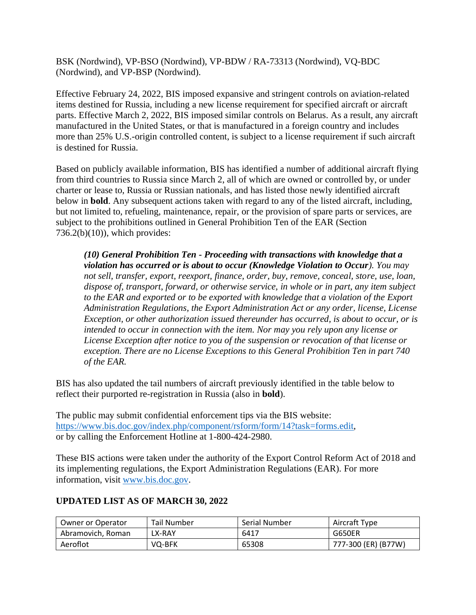BSK (Nordwind), VP-BSO (Nordwind), VP-BDW / RA-73313 (Nordwind), VQ-BDC (Nordwind), and VP-BSP (Nordwind).

Effective February 24, 2022, BIS imposed expansive and stringent controls on aviation-related items destined for Russia, including a new license requirement for specified aircraft or aircraft parts. Effective March 2, 2022, BIS imposed similar controls on Belarus. As a result, any aircraft manufactured in the United States, or that is manufactured in a foreign country and includes more than 25% U.S.-origin controlled content, is subject to a license requirement if such aircraft is destined for Russia.

Based on publicly available information, BIS has identified a number of additional aircraft flying from third countries to Russia since March 2, all of which are owned or controlled by, or under charter or lease to, Russia or Russian nationals, and has listed those newly identified aircraft below in **bold**. Any subsequent actions taken with regard to any of the listed aircraft, including, but not limited to, refueling, maintenance, repair, or the provision of spare parts or services, are subject to the prohibitions outlined in General Prohibition Ten of the EAR (Section 736.2(b)(10)), which provides:

*(10) General Prohibition Ten - Proceeding with transactions with knowledge that a violation has occurred or is about to occur (Knowledge Violation to Occur). You may not sell, transfer, export, reexport, finance, order, buy, remove, conceal, store, use, loan, dispose of, transport, forward, or otherwise service, in whole or in part, any item subject to the EAR and exported or to be exported with knowledge that a violation of the Export Administration Regulations, the Export Administration Act or any order, license, License Exception, or other authorization issued thereunder has occurred, is about to occur, or is intended to occur in connection with the item. Nor may you rely upon any license or License Exception after notice to you of the suspension or revocation of that license or exception. There are no License Exceptions to this General Prohibition Ten in part 740 of the EAR.*

BIS has also updated the tail numbers of aircraft previously identified in the table below to reflect their purported re-registration in Russia (also in **bold**).

The public may submit confidential enforcement tips via the BIS website: [https://www.bis.doc.gov/index.php/component/rsform/form/14?task=forms.edit,](https://www.bis.doc.gov/index.php/component/rsform/form/14?task=forms.edit) or by calling the Enforcement Hotline at 1-800-424-2980.

These BIS actions were taken under the authority of the Export Control Reform Act of 2018 and its implementing regulations, the Export Administration Regulations (EAR). For more information, visit [www.bis.doc.gov.](http://www.bis.doc.gov/)

| <b>Owner or Operator</b> | <b>Tail Number</b> | Serial Number | Aircraft Type       |
|--------------------------|--------------------|---------------|---------------------|
| Abramovich, Roman        | LX-RAY             | 6417          | G650ER              |
| Aeroflot                 | VQ-BFK             | 65308         | 777-300 (ER) (B77W) |

## **UPDATED LIST AS OF MARCH 30, 2022**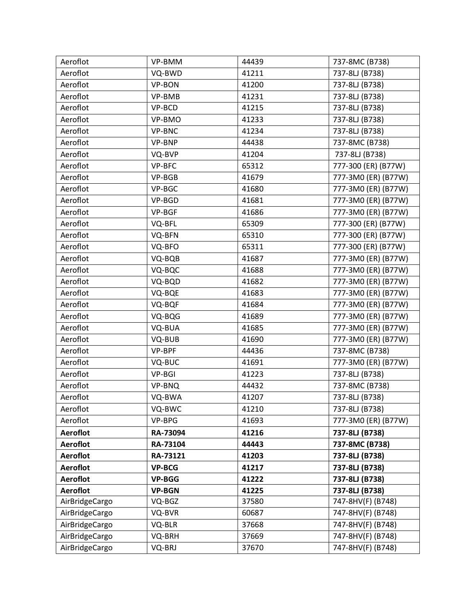| Aeroflot        | VP-BMM        | 44439 | 737-8MC (B738)      |
|-----------------|---------------|-------|---------------------|
| Aeroflot        | VQ-BWD        | 41211 | 737-8LJ (B738)      |
| Aeroflot        | VP-BON        | 41200 | 737-8LJ (B738)      |
| Aeroflot        | VP-BMB        | 41231 | 737-8LJ (B738)      |
| Aeroflot        | VP-BCD        | 41215 | 737-8LJ (B738)      |
| Aeroflot        | VP-BMO        | 41233 | 737-8LJ (B738)      |
| Aeroflot        | VP-BNC        | 41234 | 737-8LJ (B738)      |
| Aeroflot        | VP-BNP        | 44438 | 737-8MC (B738)      |
| Aeroflot        | VQ-BVP        | 41204 | 737-8LJ (B738)      |
| Aeroflot        | VP-BFC        | 65312 | 777-300 (ER) (B77W) |
| Aeroflot        | VP-BGB        | 41679 | 777-3M0 (ER) (B77W) |
| Aeroflot        | VP-BGC        | 41680 | 777-3M0 (ER) (B77W) |
| Aeroflot        | VP-BGD        | 41681 | 777-3M0 (ER) (B77W) |
| Aeroflot        | VP-BGF        | 41686 | 777-3M0 (ER) (B77W) |
| Aeroflot        | VQ-BFL        | 65309 | 777-300 (ER) (B77W) |
| Aeroflot        | VQ-BFN        | 65310 | 777-300 (ER) (B77W) |
| Aeroflot        | VQ-BFO        | 65311 | 777-300 (ER) (B77W) |
| Aeroflot        | VQ-BQB        | 41687 | 777-3M0 (ER) (B77W) |
| Aeroflot        | VQ-BQC        | 41688 | 777-3M0 (ER) (B77W) |
| Aeroflot        | VQ-BQD        | 41682 | 777-3M0 (ER) (B77W) |
| Aeroflot        | VQ-BQE        | 41683 | 777-3M0 (ER) (B77W) |
| Aeroflot        | VQ-BQF        | 41684 | 777-3M0 (ER) (B77W) |
| Aeroflot        | VQ-BQG        | 41689 | 777-3M0 (ER) (B77W) |
| Aeroflot        | VQ-BUA        | 41685 | 777-3M0 (ER) (B77W) |
| Aeroflot        | VQ-BUB        | 41690 | 777-3M0 (ER) (B77W) |
| Aeroflot        | VP-BPF        | 44436 | 737-8MC (B738)      |
| Aeroflot        | VQ-BUC        | 41691 | 777-3M0 (ER) (B77W) |
| Aeroflot        | VP-BGI        | 41223 | 737-8LJ (B738)      |
| Aeroflot        | VP-BNQ        | 44432 | 737-8MC (B738)      |
| Aeroflot        | VQ-BWA        | 41207 | 737-8LJ (B738)      |
| Aeroflot        | VQ-BWC        | 41210 | 737-8LJ (B738)      |
| Aeroflot        | VP-BPG        | 41693 | 777-3M0 (ER) (B77W) |
| <b>Aeroflot</b> | RA-73094      | 41216 | 737-8LJ (B738)      |
| <b>Aeroflot</b> | RA-73104      | 44443 | 737-8MC (B738)      |
| <b>Aeroflot</b> | RA-73121      | 41203 | 737-8LJ (B738)      |
| <b>Aeroflot</b> | <b>VP-BCG</b> | 41217 | 737-8LJ (B738)      |
| <b>Aeroflot</b> | <b>VP-BGG</b> | 41222 | 737-8LJ (B738)      |
| <b>Aeroflot</b> | <b>VP-BGN</b> | 41225 | 737-8LJ (B738)      |
| AirBridgeCargo  | VQ-BGZ        | 37580 | 747-8HV(F) (B748)   |
| AirBridgeCargo  | VQ-BVR        | 60687 | 747-8HV(F) (B748)   |
| AirBridgeCargo  | VQ-BLR        | 37668 | 747-8HV(F) (B748)   |
| AirBridgeCargo  | VQ-BRH        | 37669 | 747-8HV(F) (B748)   |
| AirBridgeCargo  | VQ-BRJ        | 37670 | 747-8HV(F) (B748)   |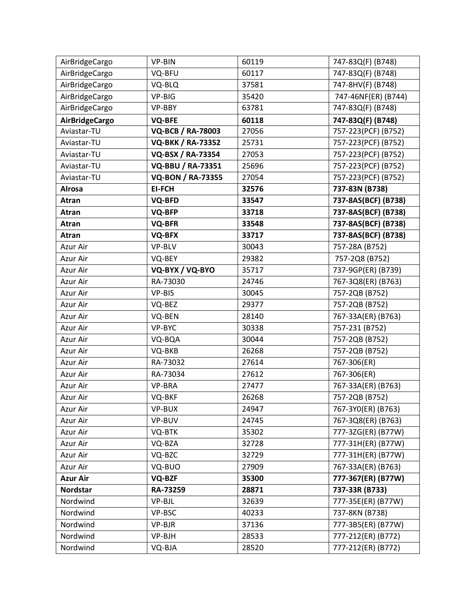| AirBridgeCargo        | VP-BIN                   | 60119 | 747-83Q(F) (B748)   |
|-----------------------|--------------------------|-------|---------------------|
| AirBridgeCargo        | VQ-BFU                   | 60117 | 747-83Q(F) (B748)   |
| AirBridgeCargo        | VQ-BLQ                   | 37581 | 747-8HV(F) (B748)   |
| AirBridgeCargo        | VP-BIG                   | 35420 | 747-46NF(ER) (B744) |
| AirBridgeCargo        | VP-BBY                   | 63781 | 747-83Q(F) (B748)   |
| <b>AirBridgeCargo</b> | <b>VQ-BFE</b>            | 60118 | 747-83Q(F) (B748)   |
| Aviastar-TU           | <b>VQ-BCB / RA-78003</b> | 27056 | 757-223(PCF) (B752) |
| Aviastar-TU           | <b>VQ-BKK / RA-73352</b> | 25731 | 757-223(PCF) (B752) |
| Aviastar-TU           | <b>VQ-BSX / RA-73354</b> | 27053 | 757-223(PCF) (B752) |
| Aviastar-TU           | VQ-BBU / RA-73351        | 25696 | 757-223(PCF) (B752) |
| Aviastar-TU           | <b>VQ-BON / RA-73355</b> | 27054 | 757-223(PCF) (B752) |
| <b>Alrosa</b>         | <b>EI-FCH</b>            | 32576 | 737-83N (B738)      |
| Atran                 | <b>VQ-BFD</b>            | 33547 | 737-8AS(BCF) (B738) |
| Atran                 | VQ-BFP                   | 33718 | 737-8AS(BCF) (B738) |
| Atran                 | VQ-BFR                   | 33548 | 737-8AS(BCF) (B738) |
| Atran                 | VQ-BFX                   | 33717 | 737-8AS(BCF) (B738) |
| Azur Air              | VP-BLV                   | 30043 | 757-28A (B752)      |
| Azur Air              | VQ-BEY                   | 29382 | 757-2Q8 (B752)      |
| Azur Air              | VQ-BYX / VQ-BYO          | 35717 | 737-9GP(ER) (B739)  |
| Azur Air              | RA-73030                 | 24746 | 767-3Q8(ER) (B763)  |
| Azur Air              | VP-BIS                   | 30045 | 757-2QB (B752)      |
| Azur Air              | VQ-BEZ                   | 29377 | 757-2QB (B752)      |
| Azur Air              | VQ-BEN                   | 28140 | 767-33A(ER) (B763)  |
| Azur Air              | VP-BYC                   | 30338 | 757-231 (B752)      |
| Azur Air              | VQ-BQA                   | 30044 | 757-2QB (B752)      |
| Azur Air              | VQ-BKB                   | 26268 | 757-2QB (B752)      |
| Azur Air              | RA-73032                 | 27614 | 767-306(ER)         |
| Azur Air              | RA-73034                 | 27612 | 767-306(ER)         |
| Azur Air              | VP-BRA                   | 27477 | 767-33A(ER) (B763)  |
| Azur Air              | VQ-BKF                   | 26268 | 757-2QB (B752)      |
| Azur Air              | VP-BUX                   | 24947 | 767-3YO(ER) (B763)  |
| Azur Air              | VP-BUV                   | 24745 | 767-3Q8(ER) (B763)  |
| Azur Air              | VQ-BTK                   | 35302 | 777-3ZG(ER) (B77W)  |
| Azur Air              | VQ-BZA                   | 32728 | 777-31H(ER) (B77W)  |
| Azur Air              | VQ-BZC                   | 32729 | 777-31H(ER) (B77W)  |
| Azur Air              | VQ-BUO                   | 27909 | 767-33A(ER) (B763)  |
| <b>Azur Air</b>       | VQ-BZF                   | 35300 | 777-367(ER) (B77W)  |
| Nordstar              | RA-73259                 | 28871 | 737-33R (B733)      |
| Nordwind              | VP-BJL                   | 32639 | 777-35E(ER) (B77W)  |
| Nordwind              | VP-BSC                   | 40233 | 737-8KN (B738)      |
| Nordwind              | VP-BJR                   | 37136 | 777-3B5(ER) (B77W)  |
| Nordwind              | VP-BJH                   | 28533 | 777-212(ER) (B772)  |
| Nordwind              | VQ-BJA                   | 28520 | 777-212(ER) (B772)  |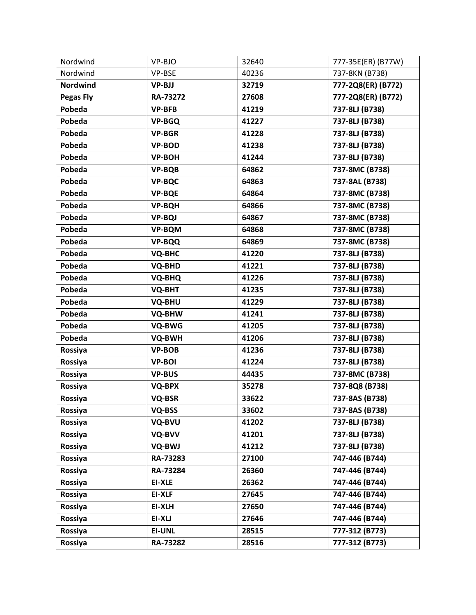| Nordwind         | VP-BJO        | 32640 | 777-35E(ER) (B77W) |
|------------------|---------------|-------|--------------------|
| Nordwind         | VP-BSE        | 40236 | 737-8KN (B738)     |
| <b>Nordwind</b>  | <b>VP-BJJ</b> | 32719 | 777-2Q8(ER) (B772) |
| <b>Pegas Fly</b> | RA-73272      | 27608 | 777-2Q8(ER) (B772) |
| Pobeda           | <b>VP-BFB</b> | 41219 | 737-8LJ (B738)     |
| Pobeda           | <b>VP-BGQ</b> | 41227 | 737-8LJ (B738)     |
| Pobeda           | <b>VP-BGR</b> | 41228 | 737-8LJ (B738)     |
| Pobeda           | <b>VP-BOD</b> | 41238 | 737-8LJ (B738)     |
| Pobeda           | <b>VP-BOH</b> | 41244 | 737-8LJ (B738)     |
| Pobeda           | <b>VP-BQB</b> | 64862 | 737-8MC (B738)     |
| Pobeda           | <b>VP-BQC</b> | 64863 | 737-8AL (B738)     |
| Pobeda           | <b>VP-BQE</b> | 64864 | 737-8MC (B738)     |
| Pobeda           | <b>VP-BQH</b> | 64866 | 737-8MC (B738)     |
| Pobeda           | <b>VP-BQJ</b> | 64867 | 737-8MC (B738)     |
| Pobeda           | <b>VP-BQM</b> | 64868 | 737-8MC (B738)     |
| Pobeda           | <b>VP-BQQ</b> | 64869 | 737-8MC (B738)     |
| Pobeda           | <b>VQ-BHC</b> | 41220 | 737-8LJ (B738)     |
| Pobeda           | VQ-BHD        | 41221 | 737-8LJ (B738)     |
| Pobeda           | VQ-BHQ        | 41226 | 737-8LJ (B738)     |
| Pobeda           | VQ-BHT        | 41235 | 737-8LJ (B738)     |
| Pobeda           | VQ-BHU        | 41229 | 737-8LJ (B738)     |
| Pobeda           | VQ-BHW        | 41241 | 737-8LJ (B738)     |
| Pobeda           | VQ-BWG        | 41205 | 737-8LJ (B738)     |
| Pobeda           | VQ-BWH        | 41206 | 737-8LJ (B738)     |
| Rossiya          | <b>VP-BOB</b> | 41236 | 737-8LJ (B738)     |
| Rossiya          | <b>VP-BOI</b> | 41224 | 737-8LJ (B738)     |
| Rossiya          | <b>VP-BUS</b> | 44435 | 737-8MC (B738)     |
| Rossiya          | <b>VQ-BPX</b> | 35278 | 737-8Q8 (B738)     |
| Rossiya          | VQ-BSR        | 33622 | 737-8AS (B738)     |
| Rossiya          | VQ-BSS        | 33602 | 737-8AS (B738)     |
| Rossiya          | VQ-BVU        | 41202 | 737-8LJ (B738)     |
| Rossiya          | VQ-BVV        | 41201 | 737-8LJ (B738)     |
| Rossiya          | VQ-BWJ        | 41212 | 737-8LJ (B738)     |
| Rossiya          | RA-73283      | 27100 | 747-446 (B744)     |
| Rossiya          | RA-73284      | 26360 | 747-446 (B744)     |
| Rossiya          | <b>EI-XLE</b> | 26362 | 747-446 (B744)     |
| Rossiya          | <b>EI-XLF</b> | 27645 | 747-446 (B744)     |
| Rossiya          | <b>EI-XLH</b> | 27650 | 747-446 (B744)     |
| Rossiya          | EI-XLJ        | 27646 | 747-446 (B744)     |
| Rossiya          | <b>EI-UNL</b> | 28515 | 777-312 (B773)     |
| Rossiya          | RA-73282      | 28516 | 777-312 (B773)     |